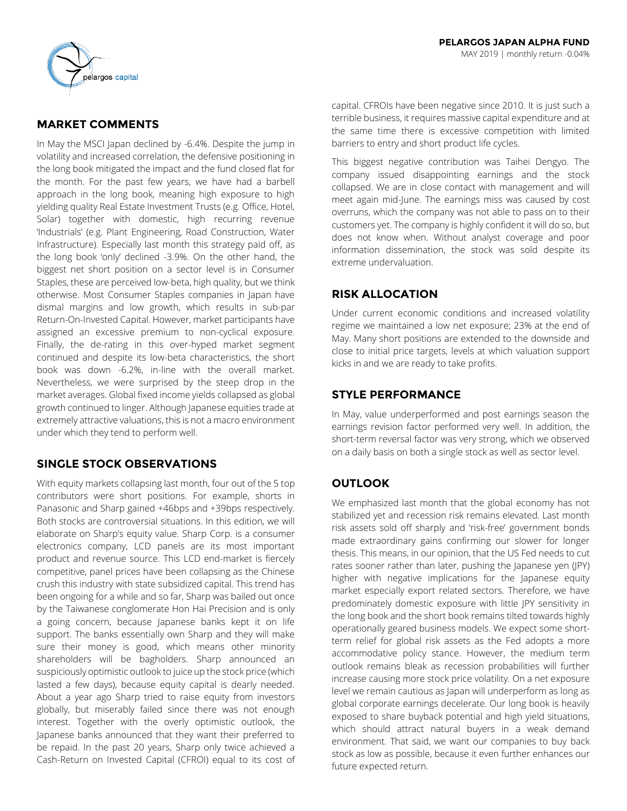

# **MARKET COMMENTS**

In May the MSCI Japan declined by -6.4%. Despite the jump in volatility and increased correlation, the defensive positioning in the long book mitigated the impact and the fund closed flat for the month. For the past few years, we have had a barbell approach in the long book, meaning high exposure to high yielding quality Real Estate Investment Trusts (e.g. Office, Hotel, Solar) together with domestic, high recurring revenue 'Industrials' (e.g. Plant Engineering, Road Construction, Water Infrastructure). Especially last month this strategy paid off, as the long book 'only' declined -3.9%. On the other hand, the biggest net short position on a sector level is in Consumer Staples, these are perceived low-beta, high quality, but we think otherwise. Most Consumer Staples companies in Japan have dismal margins and low growth, which results in sub-par Return-On-Invested Capital. However, market participants have assigned an excessive premium to non-cyclical exposure. Finally, the de-rating in this over-hyped market segment continued and despite its low-beta characteristics, the short book was down -6.2%, in-line with the overall market. Nevertheless, we were surprised by the steep drop in the market averages. Global fixed income yields collapsed as global growth continued to linger. Although Japanese equities trade at extremely attractive valuations, this is not a macro environment under which they tend to perform well.

## **SINGLE STOCK OBSERVATIONS**

With equity markets collapsing last month, four out of the 5 top contributors were short positions. For example, shorts in Panasonic and Sharp gained +46bps and +39bps respectively. Both stocks are controversial situations. In this edition, we will elaborate on Sharp's equity value. Sharp Corp. is a consumer electronics company, LCD panels are its most important product and revenue source. This LCD end-market is fiercely competitive, panel prices have been collapsing as the Chinese crush this industry with state subsidized capital. This trend has been ongoing for a while and so far, Sharp was bailed out once by the Taiwanese conglomerate Hon Hai Precision and is only a going concern, because Japanese banks kept it on life support. The banks essentially own Sharp and they will make sure their money is good, which means other minority shareholders will be bagholders. Sharp announced an suspiciously optimistic outlook to juice up the stock price (which lasted a few days), because equity capital is dearly needed. About a year ago Sharp tried to raise equity from investors globally, but miserably failed since there was not enough interest. Together with the overly optimistic outlook, the Japanese banks announced that they want their preferred to be repaid. In the past 20 years, Sharp only twice achieved a Cash-Return on Invested Capital (CFROI) equal to its cost of

capital. CFROIs have been negative since 2010. It is just such a terrible business, it requires massive capital expenditure and at the same time there is excessive competition with limited barriers to entry and short product life cycles.

This biggest negative contribution was Taihei Dengyo. The company issued disappointing earnings and the stock collapsed. We are in close contact with management and will meet again mid-June. The earnings miss was caused by cost overruns, which the company was not able to pass on to their customers yet. The company is highly confident it will do so, but does not know when. Without analyst coverage and poor information dissemination, the stock was sold despite its extreme undervaluation.

# **RISK ALLOCATION**

Under current economic conditions and increased volatility regime we maintained a low net exposure; 23% at the end of May. Many short positions are extended to the downside and close to initial price targets, levels at which valuation support kicks in and we are ready to take profits.

## **STYLE PERFORMANCE**

In May, value underperformed and post earnings season the earnings revision factor performed very well. In addition, the short-term reversal factor was very strong, which we observed on a daily basis on both a single stock as well as sector level.

# **OUTLOOK**

We emphasized last month that the global economy has not stabilized yet and recession risk remains elevated. Last month risk assets sold off sharply and 'risk-free' government bonds made extraordinary gains confirming our slower for longer thesis. This means, in our opinion, that the US Fed needs to cut rates sooner rather than later, pushing the Japanese yen (JPY) higher with negative implications for the Japanese equity market especially export related sectors. Therefore, we have predominately domestic exposure with little JPY sensitivity in the long book and the short book remains tilted towards highly operationally geared business models. We expect some shortterm relief for global risk assets as the Fed adopts a more accommodative policy stance. However, the medium term outlook remains bleak as recession probabilities will further increase causing more stock price volatility. On a net exposure level we remain cautious as Japan will underperform as long as global corporate earnings decelerate. Our long book is heavily exposed to share buyback potential and high yield situations, which should attract natural buyers in a weak demand environment. That said, we want our companies to buy back stock as low as possible, because it even further enhances our future expected return.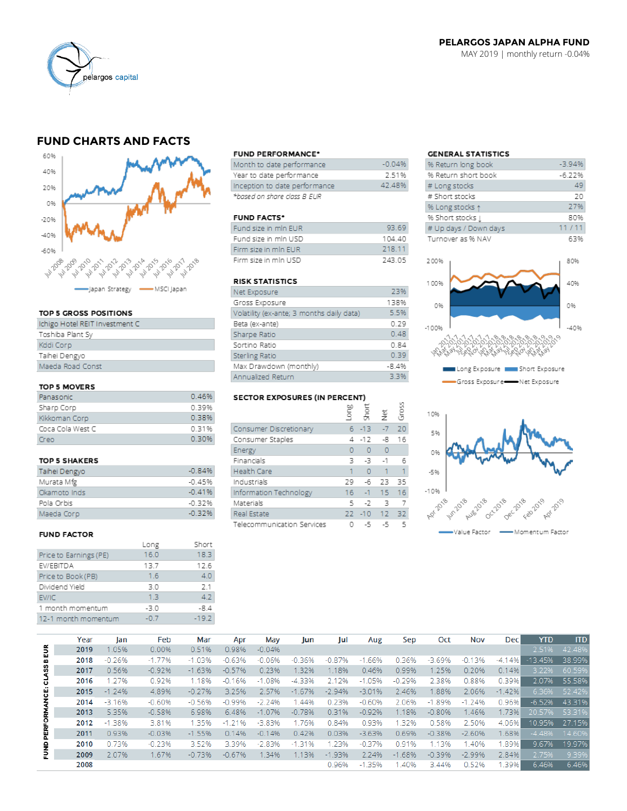

## PELARGOS JAPAN ALPHA FUND MAY 2019 | monthly return -0.04%

# **FUND CHARTS AND FACTS**



#### TOP 5 GROSS POSITIONS

#### TOP 5 MOVERS

| Panasonic        | 0.46% |
|------------------|-------|
| Sharp Corp       | 0.39% |
| Kikkoman Corp    | 0.38% |
| Coca Cola West C | 0.31% |
| Creo             | 0.30% |

#### **TOP 5 SHAKERS**

| Taihei Dengyo | $-0.84%$ |
|---------------|----------|
| Murata Mfg    | $-0.45%$ |
| Okamoto Inds  | $-0.41%$ |
| Pola Orbis    | $-0.32%$ |
| Maeda Corp    | -0.32%   |

## **FUND FACTOR**

|                        | Long   | Short   |
|------------------------|--------|---------|
| Price to Earnings (PE) | 16.0   | 18.3    |
| EV/EBITDA              | 13.7   | 12.6    |
| Price to Book (PB)     | 1.6    | 4.0     |
| Dividend Yield         | 3.0    | 2.1     |
| EV/IC                  | 13     | 4.2     |
| 1 month momentum       | $-3.0$ | $-8.4$  |
| 12-1 month momentum    | $-0.7$ | $-19.2$ |
|                        |        |         |

#### **FUND PERFORMANCE\***

| Month to date performance.    | $-0.04%$ |
|-------------------------------|----------|
| Year to date performance.     | 2.51%    |
| Inception to date performance | 42.48%   |
| *based on share class B EUR   |          |

### **FUND FACTS\***

| Fund size in min EUR | 93.69  |
|----------------------|--------|
| Fund size in mln USD | 104 40 |
| Firm size in min EUR | 218 11 |
| Firm size in min USD | 243.05 |

#### **RISK STATISTICS**

| Net Exposure                              | 23%     |
|-------------------------------------------|---------|
| Gross Exposure                            | 138%    |
| Volatility (ex-ante; 3 months daily data) | 5.5%    |
| Beta (ex-ante)                            | 0.29    |
| Sharpe Ratio                              | 0.48    |
| Sortino Ratio                             | 0.84    |
| Sterling Ratio                            | 0.39    |
| Max Drawdown (monthly)                    | $-8.4%$ |
| Annualized Return                         | 3.3%    |

#### **SECTOR EXPOSURES (IN PERCENT)**

|                            | ξ      | Ğ<br>S   | Ξ              | ğ  |
|----------------------------|--------|----------|----------------|----|
| Consumer Discretionary     |        | $6 - 13$ | $-7$           | 20 |
| Consumer Staples           | 4      | $-12$    | -8             | 16 |
| Energy                     | 0      | $\Omega$ | $\overline{0}$ |    |
| Financials                 | з      | -3       | $-1$           | 6  |
| <b>Health Care</b>         | 1      | $\Omega$ | 1              | 1  |
| Industrials                | 29     | -6       | 23             | 35 |
| Information Technology     | $16-1$ |          | $-1$ 15        | 16 |
| Materials                  | 5      | $-2$     | 3              |    |
| Real Estate                | 22     | $-10$ 12 |                | 32 |
| Telecommunication Services |        | -5       | -5             | 5  |

 $\overline{\omega}$ 

## **GENERAL STATISTICS**

| % Return long book    | $-3.94%$ |
|-----------------------|----------|
| % Return short book   | $-6.22%$ |
| # Long stocks         | 49       |
| # Short stocks        | 20       |
| % Long stocks 1       | 27%      |
| % Short stocks [      | 80%      |
| # Up days / Down days | 11/11    |
| Turnover as % NAV     | 63%      |
|                       |          |
| 200%                  | 80%      |
|                       |          |
| 100%                  | 40%      |
|                       |          |



Gross Exposure Net Exposure



|              | Year | lan      | Feb      | Mar      | Apr      | May      | Jun      | Jul      | Aug      | Sep      | Oct      | Nov      | <b>Dec</b> | <b>YTD</b> | <b>ITD</b> |
|--------------|------|----------|----------|----------|----------|----------|----------|----------|----------|----------|----------|----------|------------|------------|------------|
| 5            | 2019 | 1.05%    | 0.00%    | 0.51%    | 0.98%    | $-0.04%$ |          |          |          |          |          |          |            | 2.51%      | 42.48%     |
| 뭅            | 2018 | $-0.26%$ | $-1.77%$ | $-1.03%$ | $-0.63%$ | $-0.06%$ | $-0.36%$ | $-0.87%$ | $-1.66%$ | 0.36%    | $-3.69%$ | $-0.13%$ | $-4.14%$   | $-13.45%$  | 38.99%     |
| <b>CLASS</b> | 2017 | 0.56%    | $-0.92%$ | $-1.63%$ | $-0.57%$ | 0.23%    | 1.32%    | 1.18%    | 0.46%    | 0.99%    | 1.25%    | 0.20%    | 0.14%      | 3.22%      | 60.59%     |
|              | 2016 | 1.27%    | 0.92%    | 1.18%    | $-0.16%$ | $-1.08%$ | $-4.33%$ | 2.12%    | $-1.05%$ | $-0.29%$ | 2.38%    | 0.88%    | 0.39%      | 2.07%      | 55.58%     |
|              | 2015 | $-1.24%$ | 4.89%    | $-0.27%$ | 3.25%    | 2.57%    | $-1.67%$ | $-2.94%$ | $-3.01%$ | 2.46%    | .88%     | 2.06%    | $-1.42%$   | 6.36%      | 52.42%     |
| PERFORMANCE: | 2014 | $-3.16%$ | $-0.60%$ | $-0.56%$ | $-0.99%$ | $-2.24%$ | .44%     | 0.23%    | $-0.60%$ | 2.06%    | $-1.89%$ | $-1.24%$ | 0.96%      | $-6.52%$   | 43.31%     |
|              | 2013 | 5.35%    | $-0.58%$ | 6.98%    | 6.48%    | $-1.07%$ | $-0.78%$ | 0.31%    | $-0.92%$ | 1.18%    | $-0.80%$ | 1.46%    | 1.73%      | 20.57%     | 53.31%     |
|              | 2012 | $-1.38%$ | 3.81%    | 1.35%    | $-1.21%$ | $-3.83%$ | 1.76%    | 0.84%    | 0.93%    | 1.32%    | 0.58%    | 2.50%    | 4.06%      | 10.95%     | 27.15%     |
|              | 2011 | 0.93%    | $-0.03%$ | $-1.55%$ | 0.14%    | $-0.14%$ | 0.42%    | 0.03%    | $-3.63%$ | 0.69%    | $-0.38%$ | $-2.60%$ | 1.68%      | $-4.48%$   | 14.60%     |
|              | 2010 | 0.73%    | $-0.23%$ | 3.52%    | 3.39%    | $-2.83%$ | $-1.31%$ | 1.23%    | $-0.37%$ | 0.91%    | 1.13%    | 1.40%    | 1.89%      | 9.67%      | 19.97%     |
| <b>BAND</b>  | 2009 | 2.07%    | 1.67%    | $-0.73%$ | $-0.67%$ | 1.34%    | 1.13%    | $-1.93%$ | 2.24%    | $-1.68%$ | $-0.39%$ | $-2.99%$ | 2.84%      | 2.75%      | 9.39%      |
|              | 2008 |          |          |          |          |          |          | 0.96%    | $-1.35%$ | .40%     | 3.44%    | 0.52%    | 1.39%      | 6.46%      | 6.46%      |